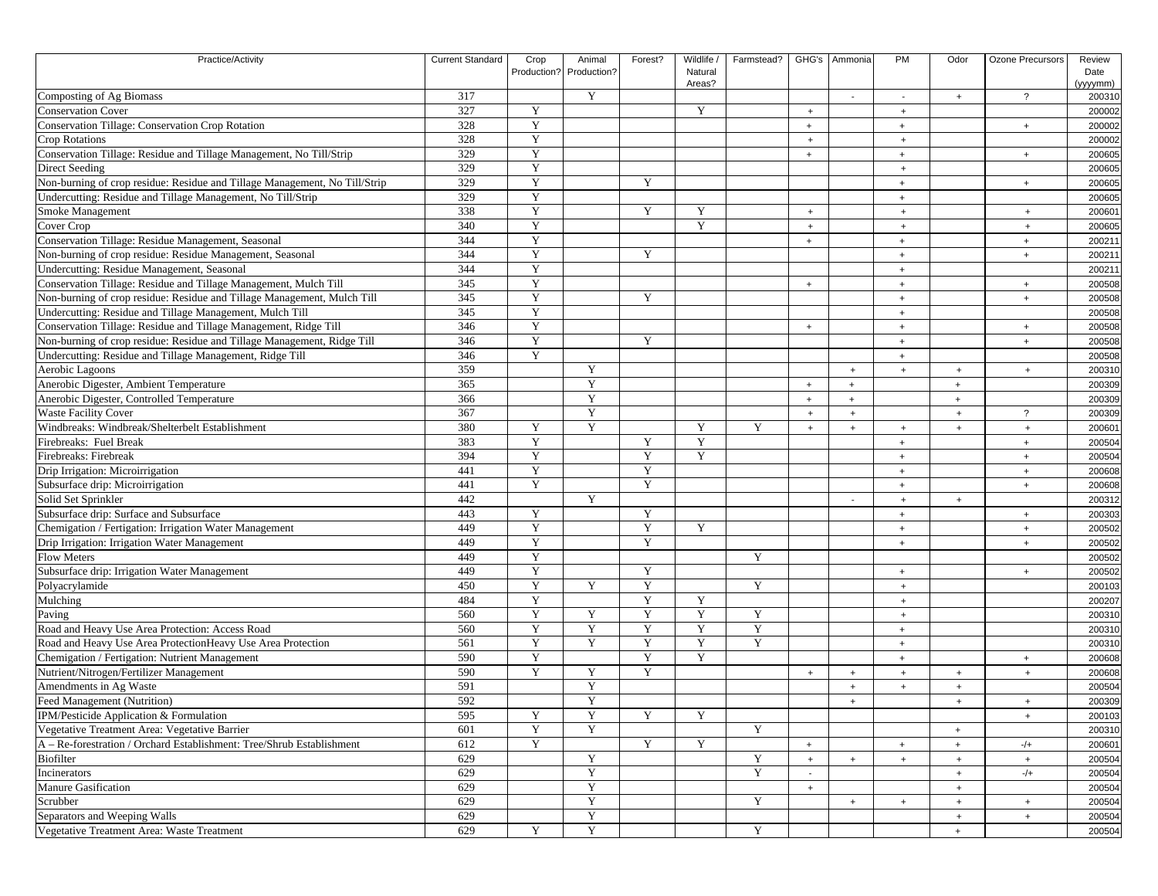| Practice/Activity                                                                        | <b>Current Standard</b> | Crop        | Animal                  | Forest?     | Wildlife / | Farmstead? |           | GHG's Ammonia | <b>PM</b>                        | Odor                 | Ozone Precursors | Review   |
|------------------------------------------------------------------------------------------|-------------------------|-------------|-------------------------|-------------|------------|------------|-----------|---------------|----------------------------------|----------------------|------------------|----------|
|                                                                                          |                         |             | Production? Production? |             | Natural    |            |           |               |                                  |                      |                  | Date     |
|                                                                                          |                         |             |                         |             | Areas?     |            |           |               |                                  |                      |                  | (yyyymm) |
| Composting of Ag Biomass                                                                 | 317                     |             | Y                       |             |            |            |           |               |                                  | $\ddot{\phantom{1}}$ | $\overline{?}$   | 200310   |
| <b>Conservation Cover</b>                                                                | 327                     | Y           |                         |             | Y          |            | $+$       |               | $+$                              |                      |                  | 200002   |
| Conservation Tillage: Conservation Crop Rotation                                         | 328                     | Y           |                         |             |            |            | $\ddot{}$ |               | $\ddot{}$                        |                      | $+$              | 200002   |
| <b>Crop Rotations</b>                                                                    | 328                     | Y           |                         |             |            |            | $\ddot{}$ |               | $+$                              |                      |                  | 200002   |
| Conservation Tillage: Residue and Tillage Management, No Till/Strip                      | 329                     | Y           |                         |             |            |            | $+$       |               | $+$                              |                      | $+$              | 200605   |
| Direct Seeding                                                                           | 329                     | Y           |                         |             |            |            |           |               | $+$                              |                      |                  | 200605   |
| Non-burning of crop residue: Residue and Tillage Management, No Till/Strip               | 329                     | Y           |                         | Y           |            |            |           |               | $\ddot{}$                        |                      | $+$              | 200605   |
| Undercutting: Residue and Tillage Management, No Till/Strip                              | 329                     | Y           |                         |             |            |            |           |               | $\ddot{}$                        |                      |                  | 200605   |
| Smoke Management                                                                         | 338                     | Y           |                         | Y           | Y          |            | $+$       |               | $+$                              |                      | $+$              | 200601   |
| Cover Crop                                                                               | 340                     | $\mathbf Y$ |                         |             | Y          |            | $\ddot{}$ |               | $+$                              |                      | $+$              | 200605   |
| Conservation Tillage: Residue Management, Seasonal                                       | 344                     | Y           |                         |             |            |            | $+$       |               | $\ddot{}$                        |                      | $+$              | 200211   |
| Non-burning of crop residue: Residue Management, Seasonal                                | 344                     | $\mathbf Y$ |                         | Y           |            |            |           |               | $\ddot{}$                        |                      | $\ddot{}$        | 200211   |
| Undercutting: Residue Management, Seasonal                                               | 344                     | Y           |                         |             |            |            |           |               | $+$                              |                      |                  | 200211   |
| Conservation Tillage: Residue and Tillage Management, Mulch Till                         | 345                     | Y           |                         |             |            |            | $\ddot{}$ |               | $\ddot{}$                        |                      | $+$              | 200508   |
| Non-burning of crop residue: Residue and Tillage Management, Mulch Till                  | 345                     | Y           |                         | Y           |            |            |           |               | $\ddot{}$                        |                      | $+$              | 200508   |
| Undercutting: Residue and Tillage Management, Mulch Till                                 | 345                     | Y           |                         |             |            |            |           |               | $+$                              |                      |                  | 200508   |
| Conservation Tillage: Residue and Tillage Management, Ridge Till                         | 346                     | Y           |                         |             |            |            | $\ddot{}$ |               | $\ddot{}$                        |                      | $+$              | 200508   |
| Non-burning of crop residue: Residue and Tillage Management, Ridge Till                  | 346                     | $\mathbf Y$ |                         | $\mathbf Y$ |            |            |           |               | $\ddot{}$                        |                      | $+$              | 200508   |
| Undercutting: Residue and Tillage Management, Ridge Till                                 | 346                     | Y           |                         |             |            |            |           |               | $\begin{array}{c} + \end{array}$ |                      |                  | 200508   |
| Aerobic Lagoons                                                                          | 359                     |             | $\mathbf Y$             |             |            |            |           | $+$           | $+$                              | $+$                  | $+$              | 200310   |
| Anerobic Digester, Ambient Temperature                                                   | 365                     |             | Y                       |             |            |            | $\ddot{}$ | $+$           |                                  | $\ddot{}$            |                  | 200309   |
| Anerobic Digester, Controlled Temperature                                                | 366                     |             | Y                       |             |            |            | $+$       | $+$           |                                  | $\ddot{}$            |                  | 200309   |
| <b>Waste Facility Cover</b>                                                              | 367                     |             | Y                       |             |            |            | $+$       | $+$           |                                  | $^{+}$               | $\overline{?}$   | 200309   |
| Windbreaks: Windbreak/Shelterbelt Establishment                                          | 380                     | Y           | $\mathbf Y$             |             | Y          | Y          | $+$       | $+$           | $+$                              | $\ddot{\phantom{1}}$ | $+$              | 200601   |
| Firebreaks: Fuel Break                                                                   | 383                     | Y           |                         | Y           | Y          |            |           |               | $\ddot{}$                        |                      | $+$              | 200504   |
| Firebreaks: Firebreak                                                                    | 394                     | Y           |                         | Y           | Y          |            |           |               | $\ddot{}$                        |                      | $+$              | 200504   |
| Drip Irrigation: Microirrigation                                                         | 441                     | Y           |                         | $\mathbf Y$ |            |            |           |               | $+$                              |                      | $+$              | 200608   |
| Subsurface drip: Microirrigation                                                         | 441                     | Y           |                         | Y           |            |            |           |               | $\ddot{}$                        |                      | $\ddot{}$        | 200608   |
| Solid Set Sprinkler                                                                      | 442                     |             | Y                       |             |            |            |           |               | $+$                              | $\ddot{}$            |                  | 200312   |
| Subsurface drip: Surface and Subsurface                                                  | 443                     | Y           |                         | $\mathbf Y$ |            |            |           |               | $+$                              |                      | $+$              | 200303   |
| Chemigation / Fertigation: Irrigation Water Management                                   | 449                     | Y           |                         | $\mathbf Y$ | Y          |            |           |               | $\ddot{}$                        |                      | $+$              | 200502   |
| Drip Irrigation: Irrigation Water Management                                             | 449                     | Y           |                         | Y           |            |            |           |               | $\ddot{}$                        |                      | $+$              | 200502   |
| <b>Flow Meters</b>                                                                       | 449                     | Y           |                         |             |            | Y          |           |               |                                  |                      |                  | 200502   |
| Subsurface drip: Irrigation Water Management                                             | 449                     | Y           |                         | $\mathbf Y$ |            |            |           |               | $+$                              |                      | $+$              | 200502   |
| Polyacrylamide                                                                           | 450                     | $\mathbf Y$ | $\mathbf Y$             | $\mathbf Y$ |            | Y          |           |               | $+$                              |                      |                  | 200103   |
| Mulching                                                                                 | 484                     | Y           |                         | $\mathbf Y$ | Y          |            |           |               | $+$                              |                      |                  | 200207   |
| Paving                                                                                   | 560                     | Y           | Y                       | $\mathbf Y$ | Y          | Y          |           |               | $+$                              |                      |                  | 200310   |
| Road and Heavy Use Area Protection: Access Road                                          | 560                     | Y           | $\mathbf Y$             | Y           | Y          | Y          |           |               | $+$                              |                      |                  | 200310   |
| Road and Heavy Use Area ProtectionHeavy Use Area Protection                              | 561                     | Y           | Y                       | $\mathbf Y$ | Y          | Y          |           |               | $\ddot{}$                        |                      |                  | 200310   |
| Chemigation / Fertigation: Nutrient Management                                           | 590                     | Y           |                         | Y           | Y          |            |           |               | $\ddot{}$                        |                      | $\ddot{}$        | 200608   |
| Nutrient/Nitrogen/Fertilizer Management                                                  | 590                     | Y           | $\mathbf Y$             | $\mathbf Y$ |            |            |           |               |                                  |                      |                  | 200608   |
|                                                                                          | 591                     |             | $\mathbf Y$             |             |            |            | $+$       | $+$           | $+$                              | $\overline{+}$       | $+$              | 200504   |
| Amendments in Ag Waste<br>Feed Management (Nutrition)                                    | 592                     |             | $\mathbf Y$             |             |            |            |           | $\ddot{}$     | $+$                              | $\ddot{\phantom{1}}$ |                  |          |
|                                                                                          |                         |             |                         |             |            |            |           | $\ddot{}$     |                                  | $\ddot{}$            | $+$              | 200309   |
| IPM/Pesticide Application & Formulation<br>Vegetative Treatment Area: Vegetative Barrier | 595                     | Y<br>Y      | Y<br>Y                  | Y           | Y          | Y          |           |               |                                  |                      | $+$              | 200103   |
|                                                                                          | 601                     |             |                         |             |            |            |           |               |                                  | $\ddot{}$            |                  | 200310   |
| A - Re-forestration / Orchard Establishment: Tree/Shrub Establishment                    | 612                     | $\mathbf Y$ |                         | Y           | Y          |            | $+$       |               | $\ddot{}$                        | $\ddot{}$            | $-/+$            | 200601   |
| Biofilter                                                                                | 629                     |             | Y                       |             |            | Y          | $+$       | $\ddot{}$     | $+$                              | $\ddot{}$            | $+$              | 200504   |
| Incinerators                                                                             | 629                     |             | $\mathbf Y$             |             |            | Y          |           |               |                                  | $^{+}$               | $-/+$            | 200504   |
| <b>Manure Gasification</b>                                                               | 629                     |             | $\mathbf Y$             |             |            |            | $+$       |               |                                  | $\ddot{\phantom{1}}$ |                  | 200504   |
| Scrubber                                                                                 | 629                     |             | $\mathbf Y$             |             |            | Y          |           | $\ddot{}$     | $+$                              | $\overline{+}$       | $+$              | 200504   |
| Separators and Weeping Walls                                                             | 629                     |             | $\mathbf Y$             |             |            |            |           |               |                                  | $\overline{+}$       | $+$              | 200504   |
| Vegetative Treatment Area: Waste Treatment                                               | 629                     | Y           | $\mathbf Y$             |             |            | Y          |           |               |                                  | $+$                  |                  | 200504   |